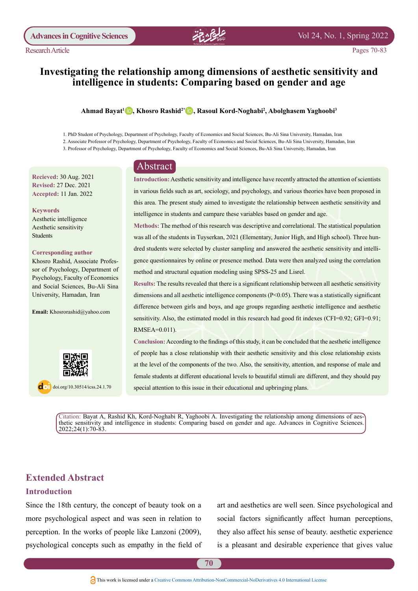

# **Investigating the relationship among dimensions of aesthetic sensitivity and** intelligence in students: Comparing based on gender and age

#### $\bold{A}$ hmad Bayat<sup>ı</sup> D, Khosro Rashid<sup>2\*</sup> D, Rasoul Kord-Noghabi<sup>2</sup>, Abolghasem Yaghoobi<sup>3</sup>

1. PhD Student of Psychology, Department of Psychology, Faculty of Economics and Social Sciences, Bu-Ali Sina University, Hamadan, Iran

- 2. Associate Professor of Psychology, Department of Psychology, Faculty of Economics and Social Sciences, Bu-Ali Sina University, Hamadan, Iran
- 3. Professor of Psychology, Department of Psychology, Faculty of Economics and Social Sciences, Bu-Ali Sina University, Hamadan, Iran

# Abstract

**Recieved: 30 Aug. 2021 Revised: 27 Dec. 2021** Accepted: 11 Jan. 2022

 **Keywords** Aesthetic intelligence Aesthetic sensitivity Students

#### **Corresponding** author

sor of Psychology, Department of Khosro Rashid, Associate Profes-Psychology, Faculty of Economics and Social Sciences, Bu-Ali Sina University, Hamadan, Iran

Email: Khosrorashid@yahoo.com



 $\overline{a}$  doi.org/10.30514/icss.24.1.70

Introduction: Aesthetic sensitivity and intelligence have recently attracted the attention of scientists in various fields such as art, sociology, and psychology, and various theories have been proposed in this area. The present study aimed to investigate the relationship between aesthetic sensitivity and intelligence in students and campare these variables based on gender and age.

Methods: The method of this research was descriptive and correlational. The statistical population gence questionnaires by online or presence method. Data were then analyzed using the correlation dred students were selected by cluster sampling and answered the aesthetic sensitivity and intelliwas all of the students in Tuyserkan, 2021 (Elementary, Junior High, and High school). Three hunmethod and structural equation modeling using SPSS-25 and Lisrel.

Results: The results revealed that there is a significant relationship between all aesthetic sensitivity dimensions and all aesthetic intelligence components  $(P< 0.05)$ . There was a statistically significant difference between girls and boys, and age groups regarding aesthetic intelligence and aesthetic sensitivity. Also, the estimated model in this research had good fit indexes (CFI=0.92; GFI=0.91; RMSEA=0.011).

Conclusion: According to the findings of this study, it can be concluded that the aesthetic intelligence of people has a close relationship with their aesthetic sensitivity and this close relationship exists at the level of the components of the two. Also, the sensitivity, attention, and response of male and female students at different educational levels to beautiful stimuli are different, and they should pay special attention to this issue in their educational and upbringing plans.

thetic sensitivity and intelligence in students: Comparing based on gender and age. Advances in Cognitive Sciences. Citation: Bayat A, Rashid Kh, Kord-Noghabi R, Yaghoobi A. Investigating the relationship among dimensions of aes- $2022;24(1):70-83.$ 

# **Extended Abstract**

### **Introduction**

Since the 18th century, the concept of beauty took on a more psychological aspect and was seen in relation to perception. In the works of people like Lanzoni  $(2009)$ , psychological concepts such as empathy in the field of art and aesthetics are well seen. Since psychological and social factors significantly affect human perceptions, they also affect his sense of beauty, aesthetic experience is a pleasant and desirable experience that gives value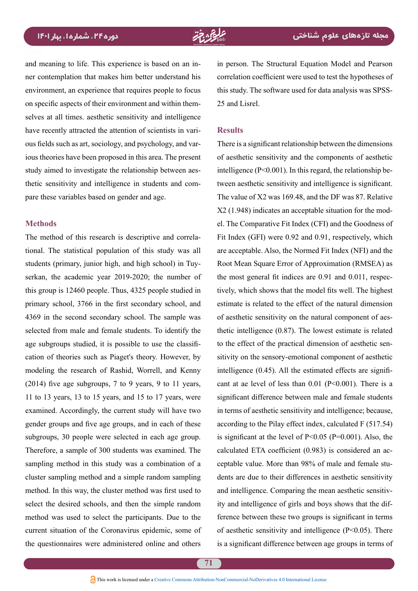and meaning to life. This experience is based on an in-<br>ner-contemplation that makes him better understand his environment, an experience that requires people to focus selves at all times. aesthetic sensitivity and intelligence on specific aspects of their environment and within themious theories have been proposed in this area. The present ous fields such as art, sociology, and psychology, and varhave recently attracted the attention of scientists in varithetic sensitivity and intelligence in students and com-<br>pare these variables based on gender and age. study aimed to investigate the relationship between aes-<br>thetic-sensitivity and intelligence in students and comstudy aimed to investigate the relationship between aes-

#### **Methods**

tional. The statistical population of this study was all The method of this research is descriptive and correlaserkan, the academic year  $2019-2020$ ; the number of students (primary, junior high, and high school) in Tuythis group is  $12460$  people. Thus,  $4325$  people studied in primary school, 3766 in the first secondary school, and 4369 in the second secondary school. The sample was selected from male and female students. To identify the cation of theories such as Piaget's theory. However, by age subgroups studied, it is possible to use the classifimodeling the research of Rashid, Worrell, and Kenny  $(2014)$  five age subgroups, 7 to 9 years, 9 to 11 years, 11 to 13 years, 13 to 15 years, and 15 to 17 years, were examined. Accordingly, the current study will have two gender groups and five age groups, and in each of these subgroups, 30 people were selected in each age group. Therefore, a sample of 300 students was examined. The sampling method in this study was a combination of a cluster sampling method and a simple random sampling method. In this way, the cluster method was first used to select the desired schools, and then the simple random method was used to select the participants. Due to the current situation of the Coronavirus epidemic, some of the questionnaires were administered online and others in person. The Structural Equation Model and Pearson correlation coefficient were used to test the hypotheses of this study. The software used for data analysis was SPSS-<br>25 and Lisrel.

#### **Results**

There is a significant relationship between the dimensions of aesthetic sensitivity and the components of aesthetic tween aesthetic sensitivity and intelligence is significant. intelligence  $(P<0.001)$ . In this regard, the relationship be-The value of  $X2$  was 169.48, and the DF was 87. Relative el. The Comparative Fit Index (CFI) and the Goodness of  $X2$  (1.948) indicates an acceptable situation for the mod-Fit Index (GFI) were  $0.92$  and  $0.91$ , respectively, which are acceptable. Also, the Normed Fit Index (NFI) and the Root Mean Square Error of Approximation (RMSEA) as tively, which shows that the model fits well. The highest the most general fit indices are  $0.91$  and  $0.011$ , respecestimate is related to the effect of the natural dimension thetic intelligence  $(0.87)$ . The lowest estimate is related of aesthetic sensitivity on the natural component of aessitivity on the sensory-emotional component of aesthetic to the effect of the practical dimension of aesthetic sencant at ae level of less than  $0.01$  (P<0.001). There is a intelligence  $(0.45)$ . All the estimated effects are signifisignificant difference between male and female students in terms of aesthetic sensitivity and intelligence; because, according to the Pilay effect index, calculated  $F(517.54)$ is significant at the level of  $P \le 0.05$  ( $P = 0.001$ ). Also, the ceptable value. More than 98% of male and female stu-<br>dents are due to their differences in aesthetic sensitivity calculated ETA coefficient (0.983) is considered an acceptable value. More than 98% of male and female stucalculated ETA coefficient  $(0.983)$  is considered an acference between these two groups is significant in terms ity and intelligence of girls and boys shows that the difand intelligence. Comparing the mean aesthetic sensitivof aesthetic sensitivity and intelligence  $(P< 0.05)$ . There is a significant difference between age groups in terms of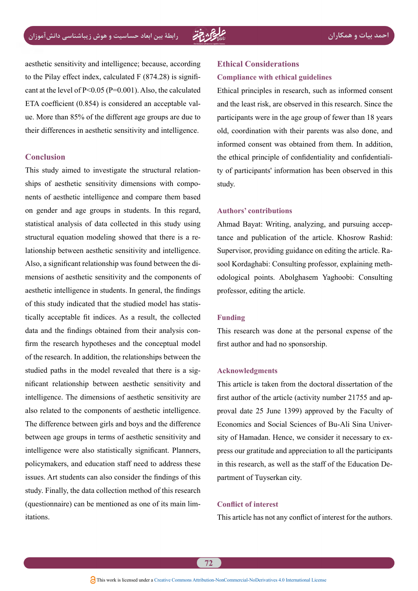aesthetic sensitivity and intelligence; because, according cant at the level of  $P \le 0.05$  ( $P = 0.001$ ). Also, the calculated to the Pilay effect index, calculated  $F(874.28)$  is signifiue. More than 85% of the different age groups are due to ETA coefficient  $(0.854)$  is considered an acceptable valtheir differences in aesthetic sensitivity and intelligence.

#### **Conclusion**

has a next a set intelligence and compare them based ships of aesthetic sensitivity dimensions with compo-This study aimed to investigate the structural relationon gender and age groups in students. In this regard, statistical analysis of data collected in this study using lationship between aesthetic sensitivity and intelligence. structural equation modeling showed that there is a remensions of aesthetic sensitivity and the components of Also, a significant relationship was found between the diaesthetic intelligence in students. In general, the findings tically acceptable fit indices. As a result, the collected of this study indicated that the studied model has statisfirm the research hypotheses and the conceptual model data and the findings obtained from their analysis conof the research. In addition, the relationships between the nificant relationship between aesthetic sensitivity and studied paths in the model revealed that there is a sigintelligence. The dimensions of aesthetic sensitivity are also related to the components of aesthetic intelligence. The difference between girls and boys and the difference between age groups in terms of aesthetic sensitivity and intelligence were also statistically significant. Planners, policymakers, and education staff need to address these issues. Art students can also consider the findings of this study. Finally, the data collection method of this research (questionnaire) can be mentioned as one of its main limitations.

# **Ethical Considerations Compliance with ethical guidelines**

Ethical principles in research, such as informed consent and the least risk, are observed in this research. Since the participants were in the age group of fewer than 18 years old, coordination with their parents was also done, and informed consent was obtained from them. In addition, ty of participants' information has been observed in this the ethical principle of confidentiality and confidentialistudy.

#### **contributions' Authors**

tance and publication of the article. Khosrow Rashid: Ahmad Bayat: Writing, analyzing, and pursuing accepodological points. Abolghasem Yaghoobi: Consulting sool Kordaghabi: Consulting professor, explaining meth-Supervisor, providing guidance on editing the article, Raprofessor, editing the article.

### **Funding**

This research was done at the personal expense of the first author and had no sponsorship.

#### **Acknowledgments**

This article is taken from the doctoral dissertation of the proval date 25 June 1399) approved by the Faculty of first author of the article (activity number  $21755$  and appress our gratitude and appreciation to all the participants sity of Hamadan. Hence, we consider it necessary to ex-Economics and Social Sciences of Bu-Ali Sina Univerin this research, as well as the staff of the Education Department of Tuyserkan city.

### **Conflict of interest**

This article has not any conflict of interest for the authors.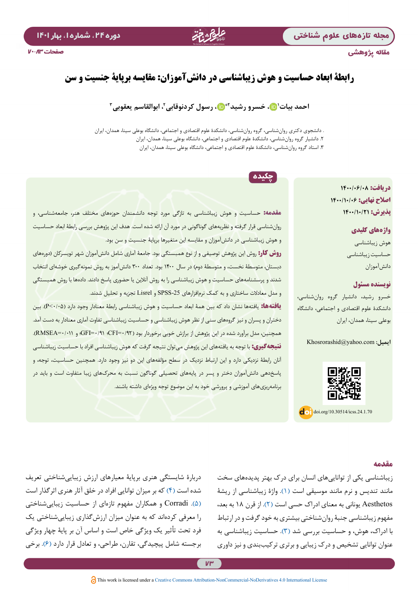## مقاله پژوهشی

# دوره ۲۴، شماره ا، بهار ۱۴۰۱

# **رابطۀ ابعاد حساسیت و هوش زیباشناسی در دانشآموزان: مقایسه برپایۀ جنسیت و سن**

احمد بیات'۞، خسرو رشید'\*۞، رسول کردنوقابی'، ابوالقاسم یعقوبی<sup>۳</sup>

. دانشجوی دکتری روانشناسی، گروه روانشناسی، دانشکدۀ علوم اقتصادی و اجتماعی، دانشگاه بوعلی سینا، همدان، ایران .2 دانشیار گروه روانشناسی، دانشکدۀ علوم اقتصادی و اجتماعی، دانشگاه بوعلی سینا، همدان، ایران .3 استاد گروه روانشناسی، دانشکدۀ علوم اقتصادی و اجتماعی، دانشگاه بوعلی سینا، همدان، ایران

چکیده

**دریافت: 1400/06/08 اصالح نهایی: 1400/10/06 پذیر ش: 1400/1001** 

## **واژههای کلیدی**

هوش زیباشناسی حساسیت زیباشناسی دانشآموزان

#### **نویسنده مسئول**

خسرو رشید، دانشیار گروه روانشناسی، دانشکدۀ علوم اقتصادی و اجتماعی، دانشگاه بوعلی سینا، همدان، ایران

**ایمیل:** com.yahoo@Khosrorashid



 $\int$  doi.org/10.30514/icss.24.1.70

**مقدمه:** حساسیت و هوش زیباشناسی به تازگی مورد توجه دانشمندان حوزههای مختلف هنر، جامعهشناسی، و روانشناسی قرار گرفته و نظریههای گوناگونی در مورد آن ارائه شده است. هدف این پژوهش بررسی رابطۀ ابعاد حساسیت و هوش زیباشناسی در دانشآموزان و مقایسه این متغیرها برپایۀ جنسیت و سن بود. **روش کار:** روش این پژوهش توصیفی و از نوع همبستگی بود. جامعۀ آماری شامل دانشآموزان شهر تویسرکان )دورههای

دبستان، متوسطۀ نخست، و متوسطۀ دوم( در سال 1400 بود. تعداد 300 دانشآموز به روش نمونهگیری خوشهای انتخاب شدند و پرسشنامههای حساسیت و هوش زیباشناسی را به روش آنالین یا حضوری پاسخ دادند. دادهها با روش همبستگی و مدل معادالت ساختاری و به کمک نرمافزارهای -25SPSS و Lisrel تجزیه و تحلیل شدند.

**یافتهها:** یافتهها نشان داد که بین همۀ ابعاد حساسیت و هوش زیباشناسی رابطۀ معنادار وجود دارد )0/05<P). بین دختران و پسران و نیز گروههای سنی از نظر هوش زیباشناسی و حساسیت زیباشناسی تفاوت آماری معنادار به دست آمد. همچنین، مدل برآورد شده در این پژوهش از برازش خوبی برخوردار بود )0/92=CFI؛ 0/91=GFI؛ و 0/011=RMSEA). **نتیجهگیری:** با توجه به یافتههای این پژوهش میتوان نتیجه گرفت که هوش زیباشناسی افراد با حساسیت زیباشناسی آنان رابطۀ نزدیکی دارد و این ارتباط نزدیک در سطح مؤلفههای این دو نیز وجود دارد. همچنین حساسیت، توجه، و پاسخدهی دانشآموزان دختر و پسر در پایههای تحصیلی گوناگون نسبت به محرکهای زیبا متفاوت است و باید در برنامهریزیهای آموزشی و پرورشی خود به این موضوع توجه ویژهای داشته باشند.

#### **مقدمه**

زیباشناسی یکی از تواناییهای انسان برای درک بهتر پدیدههای سخت مانند تندیس و نرم مانند موسیقی است )[1](#page-11-0)(. واژۀ زیباشناسی از ریشۀ Aesthetos یونانی به معنای ادراک حسی است )[2](#page-11-1)(. از قرن 18 به بعد، مفهوم زیباشناسی جنبۀ روانشناختی بیشتری به خود گرفت و در ارتباط با ادراک، هوش، و حساسیت بررسی شد [\)3\(](#page-11-2). حساسیت زیباشناسی به عنوان توانایی تشخیص و درک زیبایی و برتری ترکیببندی و نیز داوری

دربارة شایستگی هنری برپایة معیارهای ارزش زیباییشناختی تعریف شده است (۴) که بر میزان توانایی افراد در خلق آثار هنری اثرگذار است [\)5\(](#page-12-1). Corradi و همکاران مفهوم تازهای از حساسیت زیباییشناختی را معرفی کردهاند که به عنوان میزان ارزشگذاری زیباییشناختی یک فرد تحت تأثیر یک ویژگی خاص است و اساس آن بر پایة چهار ویژگی برجسته شامل پیچیدگی، تقارن، طراحی، و تعادل قرار دارد [\)6\(](#page-12-2). برخی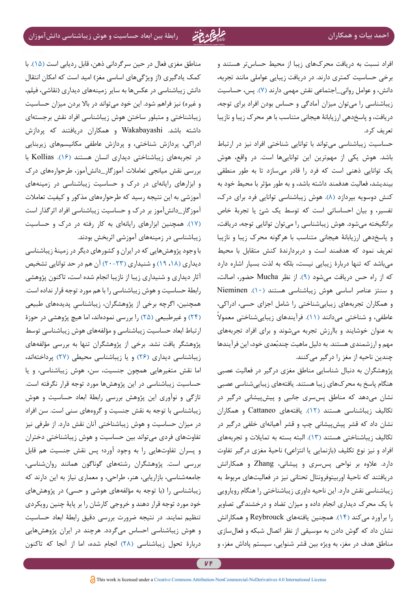افراد نسبت به دریافت محرکهای زیبا از محیط حساستر هستند و برخی حساسیت کمتری دارند. در دریافت زیبایی عواملی مانند تجربه، دانش، و عوامل روانی\_اجتماعی نقش مهمی دارند [\)7\(](#page-12-3). پس، حساسیت زیباشناسی را میتوان میزان آمادگی و حساس بودن افراد برای توجه، دریافت، و پاسخدهی ارزیابانۀ هیجانی متناسب با هر محرک زیبا و نازیبا تعریف کرد.

حساسیت زیباشناسی میتواند با توانایی شناختی افراد نیز در ارتباط باشد. هوش یکی از مهمترین این تواناییها است. در واقع، هوش یک توانایی ذهنی است که فرد را قادر میسازد تا به طور منطقی بیندیشد، فعالیت هدفمند داشته باشد، و به طور مؤثر با محیط خود به کنش دوسویه بپردازد [\)8\(](#page-12-4). هوش زیباشناسی توانایی فرد برای درک، تفسیر، و بیان احساساتی است که توسط یک شئ یا تجربة خاص برانگیخته میشود. هوش زیباشناسی را میتوان توانایی توجه، دریافت، و پاسخدهی ارزیابانۀ هیجانی متناسب با هرگونه محرک زیبا و نازیبا تعریف نمود که هدفمند است و دربردارندۀ کنش متقابل با محیط میباشد که تنها دربارۀ زیبایی نیست، بلکه به لذت بسیار اشاره دارد که از راه حس دریافت میشود [\)9\(](#page-12-5). از نظر Mucha حضور، اصالت، و سنتز عناصر اساسی هوش زیباشناسی هستند [\)10\(](#page-12-6). Nieminen و همکاران تجربههای زیباییشناختی را شامل اجزای حسی، ادراکی، عاطفی، و شناختی میدانند [\)11\(](#page-12-7). فرآیندهای زیباییشناختی معموال به عنوان خوشایند و باارزش تجربه میشوند و برای افراد تجربههای مهم و ارزشمندی هستند. به دلیل ماهیت چندبُعدی خود، این فرآیندها چندین ناحیه از مغز را درگیر میکنند.

پژوهشگران به دنبال شناسایی مناطق مغزی درگیر در فعالیت عصبی هنگام پاسخ به محرکهای زیبا هستند. یافتههای زیباییشناسی عصبی نشان میدهد که مناطق پسسری جانبی و پیشپیشانی درگیر در تکالیف زیباشناسی هستند [\)12](#page-12-8)(. یافتههای Cattaneo و همکاران نشان داد که قشر پیشپیشانی چپ و قشر آهیانهای خلفی درگیر در تکالیف زیباشناختی هستند [\)13](#page-12-9)(. البته بسته به تمایالت و تجربههای افراد و نیز نوع تکلیف (بازنمایی یا انتزاعی) ناحیۀ مغزی درگیر تفاوت دارد. عالوه بر نواحی پسسری و پیشانی، Zhang و همکارانش دریافتند که ناحیۀ اوربیتوفرونتال تحتانی نیز در فعالیتهای مربوط به زیباشناسی نقش دارد. این ناحیه داوری زیباشناختی را هنگام رویارویی با یک محرک دیداری انجام داده و میزان تضاد و درخشندگی تصاویر را برآورد میکند )[14](#page-12-10)(. همچنین یافتههای Reybrouck و همکارانش نشان داد که گوش دادن به موسیقی از نظر اتصال شبکه و فعالسازی مناطق هدف در مغز، به ویژه بین قشر شنوایی، سیستم پاداش مغز، و

مناطق مغزی فعال در حین سرگردانی ذهن، قابل ردیابی است [\)15](#page-12-11)(. با کمک یادگیری )از ویژگیهای اساسی مغز( امید است که امکان انتقال دانش زیباشناسی در عکسها به سایر زمینههای دیداری )نقاشی، فیلم، و غیره) نیز فراهم شود. این خود میتواند در بالا بردن میزان حساسیت زیباشناختی و متبلور ساختن هوش زیباشناسی افراد نقش برجستهای داشته باشد. Wakabayashi و همکاران دریافتند که پردازش ادراکی، پردازش شناختی، و پردازش عاطفی مکانیسمهای زیربنایی در تجربههای زیباشناختی دیداری انسان هستند )[16](#page-12-12)(. Kollias با بررسی نقش میانجی تعامالت آموزگار\_دانشآموز، طرحوارههای درک و ابزارهای رایانهای در درک و حساسیت زیباشناسی در زمینههای آموزشی به این نتیجه رسید که طرحوارههای مذکور و کیفیت تعامالت آموزگار\_دانشآموز بر درک و حساسیت زیباشناسی افراد اثرگذار است )[17\(](#page-12-13). همچنین ابزارهای رایانهای به کار رفته در درک و حساسیت زیباشناسی در زمینههای آموزشی اثربخش بودند.

با وجود پژوهشهایی که در ایران و کشورهای دیگر در زمینۀ زیباشناسی دیداری [\)،18](#page-12-18) [19\(](#page-12-17) و شنیداری [\)](#page-12-16)[20](#page-12-14)[-](#page-12-15)[23](#page-12-16)( آن هم در حد توانایی تشخیص آثار دیداری و شنیداری زیبا از نازیبا انجام شده است، تاکنون پژوهشی رابطۀ حساسیت و هوش زیباشناسی را با هم مورد توجه قرار نداده است. ِ همچنین، اگرچه برخی از پژوهشگران، زیباشناسی پدیدههای طبیعی )[24\(](#page-12-20) و غیرطبیعی [\)25](#page-12-19)( را بررسی نمودهاند، اما هیچ پژوهشی در حوزۀ ارتباط ابعاد حساسیت زیباشناسی و مؤلفههای هوش زیباشناسی توسط پژوهشگر یافت نشد. برخی از پژوهشگران تنها به بررسی مؤلفههای زیباشناسی دیداری [\)26\(](#page-12-22) و یا زیباشناسی محیطی [\)27\(](#page-12-21) پرداختهاند، اما نقش متغیرهایی همچون جنسیت، سن، هوش زیباشناسی، و یا حساسیت زیباشناسی در این پژوهشها مورد توجه قرار نگرفته است. تازگی و نوآوری این پژوهش بررسی رابطۀ ابعاد حساسیت و هوش زیباشناسی با توجه به نقش جنسیت و گروههای سنی است. سن افراد در میزان حساسیت و هوش زیباشناختی آنان نقش دارد. از طرفی نیز تفاوتهای فردی میتواند بین حساسیت و هوش زیباشناختی دختران و پسران تفاوتهایی را به وجود آورد؛ پس نقش جنسیت هم قابل بررسی است. پژوهشگران رشتههای گوناگون همانند روانشناسی، جامعهشناسی، بازاریابی، هنر، طراحی، و معماری نیاز به این دارند که زیباشناسی را )با توجه به مؤلفههای هوشی و حسی( در پژوهشهای خود مورد توجه قرار دهند و خروجی کارشان را بر پایۀ چنین رویکردی تنظیم نمایند. در نتیجه ضرورت بررسی دقیق رابطۀ ابعاد حساسیت و هوش زیباشناسی احساس میگردد. هرچند در ایران پژوهشهایی دربارۀ تحول زیباشناسی )[28\(](#page-12-23) انجام شده، اما از آنجا که تاکنون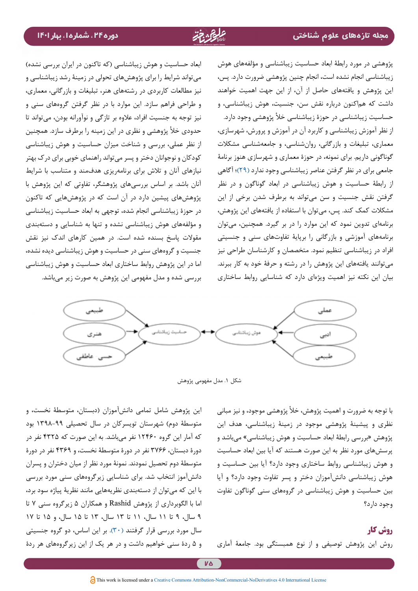پژوهشی در مورد رابطۀ ابعاد حساسیت زیباشناسی و مؤلفههای هوش زیباشناسی انجام نشده است، انجام چنین پژوهشی ضرورت دارد. پس، این پژوهش و یافتههای حاصل از آن، از این جهت اهمیت خواهند داشت که هماکنون درباره نقش سن، جنسیت، هوش زیباشناسی، و حساسیت زیباشناسی در حوزۀ زیباشناسی خأل پژوهشی وجود دارد. از نظر آموزش زیباشناسی و کاربرد آن در آموزش و پرورش، شهرسازی، معماری، تبلیغات و بازرگانی، روانشناسی، و جامعهشناسی مشکالت گوناگونی داریم. برای نمونه، در حوزۀ معماری و شهرسازی هنوز برنامۀ جامعی برای در نظر گرفتن عناصر زیباشناسی وجود ندارد [\)29\(](#page-13-0)؛ آگاهی از رابطۀ حساسیت و هوش زیباشناسی در ابعاد گوناگون و در نظر گرفتن نقش جنسیت و سن میتواند به برطرف شدن برخی از این مشکالت کمک کند. پس، میتوان با استفاده از یافتههای این پژوهش، برنامهای تدوین نمود که این موارد را در بر گیرد. همچنین، میتوان برنامههای آموزشی و بازرگانی را برپایۀ تفاوتهای سنی و جنسیتی افراد در زیباشناسی تنظیم نمود. متخصصان و کارشناسان طراحی نیز میتوانند یافتههای این پژوهش را در رشته و حرفۀ خود به کار ببرند. بیان این نکته نیز اهمیت ویژهای دارد که شناسایی روابط ساختاری

ابعاد حساسیت و هوش زیباشناسی (که تاکنون در ایران بررسی نشده) میتواند شرایط را برای پژوهشهای تحولی در زمینۀ رشد زیباشناسی و نیز مطالعات کاربردی در رشتههای هنر، تبلیغات و بازرگانی، معماری، و طراحی فراهم سازد. این موارد با در نظر گرفتن گروههای سنی و نیز توجه به جنسیت افراد، عالوه بر تازگی و نوآورانه بودن، میتواند تا حدودی خأل پژوهشی و نظری در این زمینه را برطرف سازد. همچنین از نظر عملی، بررسی و شناخت میزان حساسیت و هوش زیباشناسی کودکان و نوجوانان دختر و پسر میتواند راهنمای خوبی برای درک بهتر نیازهای آنان و تالش برای برنامهریزی هدفمند و متناسب با شرایط آنان باشد. بر اساس بررسیهای پژوهشگر، تفاوتی که این پژوهش با پژوهشهای پیشین دارد در آن است که در پژوهشهایی که تاکنون در حوزۀ زیباشناسی انجام شده، توجهی به ابعاد حساسیت زیباشناسی و مؤلفههای هوش زیباشناسی نشده و تنها به شناسایی و دستهبندی مقوالت پاسخ بسنده شده است. در همین کارهای اندک نیز نقش جنسیت و گروههای سنی در حساسیت و هوش زیباشناسی دیده نشده، اما در این پژوهش روابط ساختاری ابعاد حساسیت و هوش زیباشناسی بررسی شده و مدل مفهومی این پژوهش به صورت زیر میباشد.



شکل .1 مدل مفهومی پژوهش

با توجه به ضرورت و اهمیت پژوهش، خأل پژوهشی موجود، و نیز مبانی نظری و پیشینۀ پژوهشی موجود در زمینۀ زیباشناسی، هدف این پژوهش »بررسی رابطۀ ابعاد حساسیت و هوش زیباشناسی« میباشد و پرسشهای مورد نظر به این صورت هستند که آیا بین ابعاد حساسیت و هوش زیباشناسی روابط ساختاری وجود دارد؟ آیا بین حساسیت و هوش زیباشناسی دانشآموزان دختر و پسر تفاوت وجود دارد؟ و آیا بین حساسیت و هوش زیباشناسی در گروههای سنی گوناگون تفاوت وجود دارد؟

# **روش کار**

روش این پژوهش توصیفی و از نوع همبستگی بود. جامعۀ آماری

این پژوهش شامل تمامی دانشآموزان )دبستان، متوسطۀ نخست، و متوسطۀ دوم) شهرستان تویسرکان در سال تحصیلی ۹۹-۱۳۹۸ بود که آمار این گروه 12460 نفر میباشد. به این صورت که 4325 نفر در دورۀ دبستان، 3766 نفر در دورۀ متوسطۀ نخست، و 4369 نفر در دورۀ متوسطۀ دوم تحصیل نمودند. نمونۀ مورد نظر از میان دختران و پسران دانشآموز انتخاب شد. برای شناسایی زیرگروههای سنی مورد بررسی با این که میتوان از دستهبندی نظریههایی مانند نظریۀ پیاژه سود برد، اما با الگوبرداری از پژوهش Rashid و همکاران 5 زیرگروه سنی 7 تا 9 سال، 9 تا 11 سال، 11 تا 13 سال، 13 تا 15 سال، و 15 تا 17 سال مورد بررسی قرار گرفتند )[30](#page-13-1)(. بر این اساس، دو گروه جنسیتی و 5 ردۀ سنی خواهیم داشت و در هر یک از این زیرگروههای هر ردۀ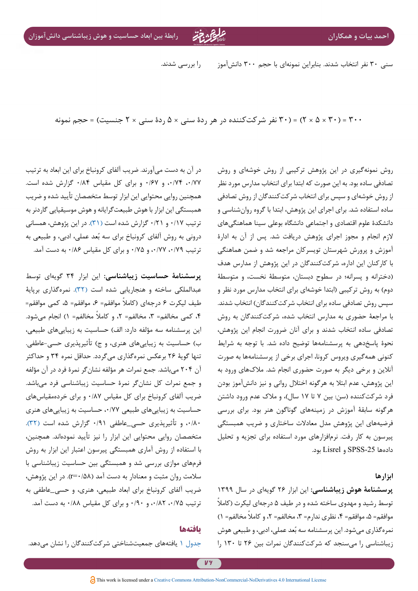سنی 30 نفر انتخاب شدند. بنابراین نمونهای با حجم 300 دانشآموز را بررسی شدند.

300 = )30 × 5 × 2( = )30 نفر شرکتکننده در هر ردۀ سنی × 5 ردۀ سنی × 2 جنسیت( = حجم نمونه

در آن به دست میآورند. ضریب آلفای کرونباخ برای این ابعاد به ترتیب ،0/77 ،0/74 و 0/67 و برای کل مقیاس 0/84 گزارش شده است. همچنین روایی محتوایی این ابزار توسط متخصصان تأیید شده و ضریب همبستگی این ابزار با هوش طبیعتگرایانه و هوش موسیقیایی گاردنر به ترتیب 0/17 و 0/21 گزارش شده است )[31\(](#page-13-2). در این پژوهش، همسانی درونی به روش آلفای کرونباخ برای سه بُعد عملی، ادبی، و طبیعی به ترتیب ۰/۷۹ ، ۰/۷۷ و ۰/۸۵ و برای کل مقیاس ۰/۸۶ به دست آمد.

**پرسشنامۀ حساسیت زیباشناسی:** این ابزار 34 گویهای توسط عبدالملکی ساخته و هنجاریابی شده است [\)32](#page-13-3)(. نمرهگذاری برپایۀ طیف لیکرت ۶ درجهای (کاملاً موافقم= ۶، موافقم= ۵، کمی موافقم= ،4 کمی مخالفم= ،3 مخالفم= 2 ً ، و کامال مخالفم= 1( انجام میشود. این پرسشنامه سه مؤلفه دارد: الف) حساسیت به زیباییهای طبیعی، ب) حساسیت به زیباییهای هنری، و ج) تأثیرپذیری حسی-عاطفی. تنها گویۀ 26 برعکس نمرهگذاری میگردد. حداقل نمره 34 و حداکثر آن 204 میباشد. جمع نمرات هر مؤلفه نشانگر نمرۀ فرد در آن مؤلفه و جمع نمرات کل نشانگر نمرۀ حساسیت زیباشناسی فرد میباشد. ضریب آلفای کرونباخ برای کل مقیاس 0/87 و برای خردهمقیاسهای حساسیت به زیباییهای طبیعی ،0/77 حساسیت به زیباییهای هنری ،0/80 و تأثیرپذیری حسی\_عاطفی 0/91 گزارش شده است [\)32](#page-13-3)(. متخصصان روایی محتوایی این ابزار را نیز تأیید نمودهاند. همچنین، با استفاده از روش آماری همبستگی پیرسون اعتبار این ابزار به روش فرمهای موازی بررسی شد و همبستگی بین حساسیت زیباشناسی با سالمت روان مثبت و معنادار به دست آمد )0/58=r). در این پژوهش، ضریب آلفای کرونباخ برای ابعاد طبیعی، هنری، و حسی\_عاطفی به ترتیب ۰/۸۵ ، ۰/۸۲ و ۰/۹۰ و برای کل مقیاس ۰/۸۸ به دست آمد.

### **یافتهها**

[جدول 1](#page-7-0) یافتههای جمعیتشناختی شرکتکنندگان را نشان میدهد.

تصادفی ساده بود. به این صورت که ابتدا برای انتخاب مدارس مورد نظر از روش خوشهای و سپس برای انتخاب شرکتکنندگان از روش تصادفی ساده استفاده شد. برای اجرای این پژوهش، ابتدا با گروه روانشناسی و دانشکدۀ علوم اقتصادی و اجتماعی دانشگاه بوعلی سینا هماهنگیهای الزم انجام و مجوز اجرای پژوهش دریافت شد. پس از آن به ادارۀ آموزش و پرورش شهرستان تویسرکان مراجعه شد و ضمن هماهنگی با کارکنان این اداره، شرکتکنندگان در این پژوهش از مدارس هدف )دخترانه و پسرانه؛ در سطوح دبستان، متوسطۀ نخست، و متوسطۀ دوم) به روش ترکیبی (ابتدا خوشهای برای انتخاب مدارس مورد نظر و سپس روش تصادفی ساده برای انتخاب شرکتکنندگان( انتخاب شدند. با مراجعۀ حضوری به مدارس انتخاب شده، شرکتکنندگان به روش تصادفی ساده انتخاب شدند و برای آنان ضرورت انجام این پژوهش، نحوۀ پاسخدهی به پرسشنامهها توضیح داده شد. با توجه به شرایط کنونی همهگیری ویروس کرونا، اجرای برخی از پرسشنامهها به صورت آنالین و برخی دیگر به صورت حضوری انجام شد. مالکهای ورود به این پژوهش، عدم ابتال به هرگونه اختالل روانی و نیز دانشآموز بودن فرد شرکتکننده )سن: بین 7 تا 17 سال(، و مالک عدم ورود داشتن هرگونه سابقۀ آموزش در زمینههای گوناگون هنر بود. برای بررسی فرضیههای این پژوهش مدل معادالت ساختاری و ضریب همبستگی پیرسون به کار رفت. نرمافزارهای مورد استفاده برای تجزیه و تحلیل دادهها -25SPSS و Lisrel بود.

روش نمونهگیری در این پژوهش ترکیبی از روش خوشهای و روش

#### **ابزارها**

**پرسشنامۀ هوش زیباشناسی:** این ابزار 26 گویهای در سال 1399 توسط رشید و مهدوی ساخته شده و در طیف ۵ درجهای لیکرت (کاملاً موافقم= ۵، موافقم= ۴، نظری ندارم= ۳، مخالفم= ۲، و کاملاً مخالفم= ۱) نمرهگذاری میشود. این پرسشنامه سه بُعد عملی، ادبی، و طبیعی هوش زیباشناسی را میسنجد که شرکتکنندگان نمرات بین 26 تا 130 را

**V**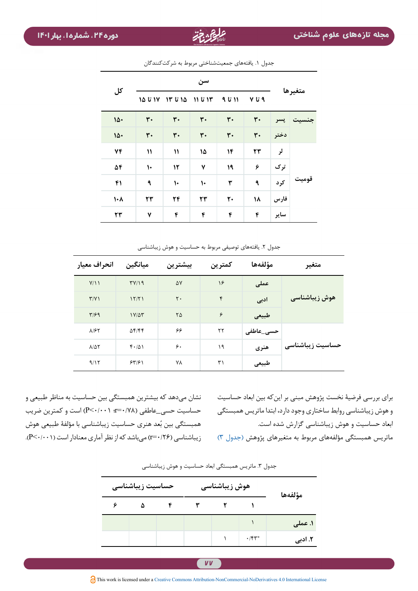|           | سن                        |                |                |                |                |         |       |  |
|-----------|---------------------------|----------------|----------------|----------------|----------------|---------|-------|--|
| کل        | ۱۵ تا ۱۵                  | ۱۵ تا ۱۳       | ۱۳ تا ۱۱       | ۱۱ تا ۹        | ۹ تا ۷         | متغيرها |       |  |
| 10.       | $\mathbf{r}$ .            | $\mathbf{r}$ . | $\mathbf{r}$ . | $\mathbf{r}$ . | $\mathbf{r}$ . | پسر     |       |  |
| 10.       | $\mathbf{r}$ .            | $\mathbf{r}$ . | $\mathbf{r}$ . | $\mathbf{r}$ . | $\mathbf{r}$ . | دختر    |       |  |
| ٧۴        | $\boldsymbol{\mathsf{N}}$ | $\mathcal{V}$  | ١۵             | 14             | ٢٣             | لر      |       |  |
| 54        | $\mathsf{L}$              | ١٢             | ٧              | ١٩             | ۶              | ترک     |       |  |
| ۴۱        | ٩                         | $\mathsf{L}$   | ١.             | ٣              | ٩              | کرد     | قوميت |  |
| $\lambda$ | ٢٣                        | ٢۴             | ٢٣             | $\mathbf{r}$   | ۱۸             | فارس    |       |  |
| ٢٣        | ٧                         | ۴              | ۴              | ۴              | ۴              | ساير    |       |  |

<span id="page-7-0"></span>جدول ١. یافتههای جمعیتشناختی مربوط به شرکتکنندگان

جدول ۲. یافتههای توصیفی مربوط به حساسیت و هوش زیباشناسی

| انحراف معيار             | ميانگين         | بيشترين        | كمترين       | مؤلفهها   | متغير            |  |
|--------------------------|-----------------|----------------|--------------|-----------|------------------|--|
| Y/11                     | TY/Y            | ۵٧             | ۱۶           | عملی      |                  |  |
| $\Upsilon/\Upsilon$      | 15/71           | $\mathsf{r}$ . | $\mathbf{r}$ | ادبى      | هوش زیباشناسی    |  |
| $T/\mathcal{F}$          | $1Y/\Delta\tau$ | ۲۵             | ۶            | طبيعى     |                  |  |
| $\lambda$ /۶۲            | $\Delta f/ff$   | ۶۶             | ٢٢           | حسى_عاطفى | حساسیت زیباشناسی |  |
| $\lambda/\Delta\Upsilon$ | f.401           | ۶۰             | ۱۹           | هنری      |                  |  |
| 9/15                     | 559             | ٧٨             | ٣١           | طبيعى     |                  |  |

نشان میدهد که بیشترین همبستگی بین حساسیت به مناظر طبیعی و حساسیت حسی\_عاطفی )0/78=r؛ 0/001<P )است و کمترین ضریب همبستگی بین بُعد هنری حساسیت زیباشناسی با مؤلفۀ طبیعی هوش زیباشناسی (۲۶/۰۰=r) میباشد که از نظر آماری معنادار است (۰،۰۰۱-.p).

برای بررسی فرضیۀ نخست پژوهش مبنی بر اینکه بین ابعاد حساسیت و هوش زیباشناسی روابط ساختاری وجود دارد، ابتدا ماتریس همبستگی ابعاد حساسیت و هوش زیباشناسی گزارش شده است.

<span id="page-7-1"></span>ماتریس همبستگی مؤلفههای مربوط به متغیرهای پژوهش )[جدول 3\(](#page-7-1) 

| مؤلفهها | هوش زیباشناسی |  |  | حساسيت زيباشناسي |   |  |
|---------|---------------|--|--|------------------|---|--|
|         |               |  |  |                  | ۵ |  |
| ۱. عملی |               |  |  |                  |   |  |
| ۲. ادبی | $\cdot$ /۴۳*  |  |  |                  |   |  |

جدول ٣. ماتریس همبستگی ابعاد حساسیت و هوش زیباشناسی

**VV**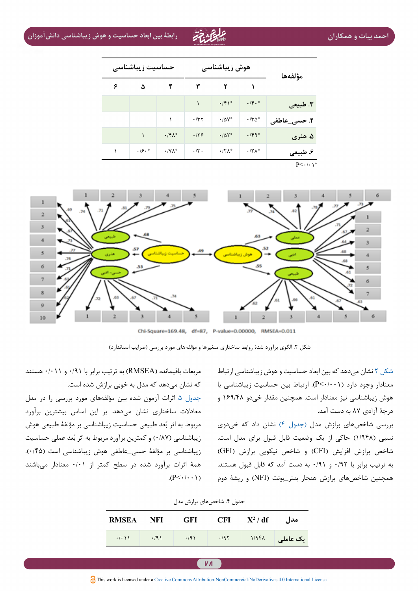**احمد بیات و همکاران رابطۀ بین ابعاد حساسیت و هوش زیباشناسی دانشآموزان**

| مؤلفهها                | هوش زیباشناسی        |                    |                    | حساسيت زيباشناسي       |      |   |  |  |
|------------------------|----------------------|--------------------|--------------------|------------------------|------|---|--|--|
|                        |                      |                    | ٣                  | ۴                      | ۵    | ۶ |  |  |
| ٣. طبيعي               | $\cdot$ /f $\cdot$ * | .75                |                    |                        |      |   |  |  |
| ۴. حسی_عاطفی           | $\cdot$ /۳۵*         | $\cdot/\Delta V^*$ | $\cdot$ /۳۲        |                        |      |   |  |  |
| ۵. هنري                | $\cdot$ /۴۹*         | .701               | .179               | $\cdot$ /۴ $\Lambda^*$ |      |   |  |  |
| ۶. طبیعی               | $\cdot$ /٢٨*         | $\cdot$ /٢٨*       | $\cdot$ /۳ $\cdot$ | $\cdot$ /Y $\wedge^*$  | .19. |   |  |  |
| $P<\cdot$ / $\cdot$ \* |                      |                    |                    |                        |      |   |  |  |



Chi-Square=169.48, df=87, P-value=0.00000, RMSEA=0.011

<span id="page-8-0"></span>[شکل 2](#page-8-0) نشان میدهد که بین ابعاد حساسیت و هوش زیباشناسی ارتباط معنادار وجود دارد )0/001<P). ارتباط بین حساسیت زیباشناسی با هوش زیباشناسی نیز معنادار است. همچنین مقدار خیدو 169/48 و درجۀ آزادی 87 به دست آمد.

<span id="page-8-1"></span>بررسی شاخصهای برازش مدل )[جدول 4\(](#page-8-1) نشان داد که خیدوی نسبی )1/948( حاکی از یک وضعیت قابل قبول برای مدل است. شاخص برازش افزایش )CFI )و شاخص نیکویی برازش )GFI ) به ترتیب برابر با 0/92 و 0/91 به دست آمد که قابل قبول هستند. همچنین شاخصهای برازش هنجار بنتر\_بونت )NFI )و ریشۀ دوم

مربعات باقیمانده )RMSEA )به ترتیب برابر با 0/91 و 0/011 هستند که نشان میدهد که مدل به خوبی برازش شده است.

[جدول 5](#page-9-0) اثرات آزمون شده بین مؤلفههای مورد بررسی را در مدل معادالت ساختاری نشان میدهد. بر این اساس بیشترین برآورد مربوط به اثر بُعد طبیعی حساسیت زیباشناسی بر مؤلفۀ طبیعی هوش زیباشناسی (۰/۸۷) و کمترین برآورد مربوط به اثر بُعد عملی حساسیت زیباشناسی بر مؤلفۀ حسی\_عاطفی هوش زیباشناسی است )0/45(. همۀ اثرات برآورد شده در سطح کمتر از 0/01 معنادار میباشند  $(P<\cdot/\cdot\cdot)$ 

|                  |             | -----       |             |          |                    |
|------------------|-------------|-------------|-------------|----------|--------------------|
| <b>RMSEA NFI</b> |             | - GFI       | – CFI       | $X^2/df$ | مدا ،              |
|                  | $\cdot$ /9) | $\cdot$ /9) | $\cdot$ /95 | 1/948    | ا یک عامل <i>ی</i> |

جدول ۴. شاخصهای برازش مدل

شکل ۲. الگوی برآورد شدۀ روابط ساختاری متغیرها و مؤلفههای مورد بررسی (ضرایب استاندارد)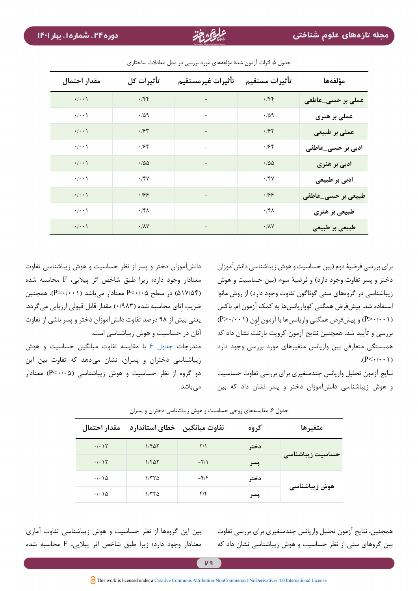| مقدار احتمال       | تأثيرات كل                                         | تأثيرات غيرمستقيم        | تأثيرات مستقيم        | مؤلفهها            |
|--------------------|----------------------------------------------------|--------------------------|-----------------------|--------------------|
| $\cdot/\cdot\cdot$ | $\cdot$ /۴۴                                        | $\equiv$                 | .759                  | عملی بر حسی_عاطفی  |
| $\cdot/\cdot\cdot$ | $\cdot$ / $\Delta$ 9                               | $\overline{\phantom{a}}$ | $\cdot/\Delta$ 9      | عملی بر هنری       |
| $\cdot/\cdot\cdot$ | .78                                                | $\qquad \qquad -$        | .197                  | عملی بر طبیعی      |
| $\cdot/\cdot\cdot$ | .188                                               | $\overline{a}$           | .798                  | ادبی بر حسی_عاطفی  |
| $\cdot/\cdot\cdot$ | $\cdot$ /00                                        |                          | .700                  | ادبی بر هنری       |
| $\cdot/\cdot\cdot$ | $\boldsymbol{\cdot}$ / $\boldsymbol{\mathsf{y}}$ / | $\bar{ }$                | .791                  | ادبی بر طبیعی      |
| $\cdot/\cdot\cdot$ | .199                                               |                          | .166                  | طبیعی بر حسی_عاطفی |
| $\cdot/\cdot\cdot$ | $\cdot$ /۴۸                                        | $\overline{\phantom{0}}$ | $\cdot$ /۴۸           | طبیعی بر هنری      |
| $\cdot/\cdot\cdot$ | $\boldsymbol{\cdot}$ /<br>AV                       | $\overline{\phantom{a}}$ | $\cdot/\lambda\gamma$ | طبیعی بر طبیعی     |

جدول ۵. اثرات آزمون شدۀ مؤلفههای مورد بررسی در مدل معادلات ساختاری

<span id="page-9-0"></span>برای بررسی فرضیۀ دوم )بین حساسیت و هوش زیباشناسی دانشآموزان دختر و پسر تفاوت وجود دارد) و فرضیۀ سوم (بین حساسیت و هوش زیباشناسی در گروههای سنی گوناگون تفاوت وجود دارد) از روش مانوا استفاده شد. پیشفرض همگنی کوواریانسها به کمک آزمون ام. باکس (P>٠/٠٠١) و پیشفرض همگنی واریانسها با آزمون لون (P>٠/٠٠١) بررسی و تأیید شد. همچنین نتایج آزمون کرویت بارتلت نشان داد که همبستگی متعارفی بین واریانس متغیرهای مورد بررسی وجود دارد  $(P<\cdot/\cdot\cdot)$ 

<span id="page-9-1"></span>نتایج آزمون تحلیل واریانس چندمتغیری برای بررسی تفاوت حساسیت و هوش زیباشناسی دانشآموزان دختر و پسر نشان داد که بین

دانشآموزان دختر و پسر از نظر حساسیت و هوش زیباشناسی تفاوت معنادار وجود دارد؛ زیرا طبق شاخص اثر پیالیی، F محاسبه شده )517/54( در سطح 0/05<P معنادار میباشد )0/001=P). همچنین ضریب اتای محاسبه شده (۰/۹۸۳) مقدار قابل قبولی ارزیابی میگردد. یعنی بیش از 98 درصد تفاوت دانشآموزان دختر و پسر ناشی از تفاوت آنان در حساسیت و هوش زیباشناسی است.

مندرجات [جدول 6](#page-9-1) با مقایسه تفاوت میانگین حساسیت و هوش زیباشناسی دختران و پسران، نشان میدهد که تفاوت بین این دو گروه از نظر حساسیت و هوش زیباشناسی )0/05<P )معنادار مے باشد.

| متغيرها          | گروه |                          | تفاوت میانگین حخطای استاندارد | مقدار احتمال                        |
|------------------|------|--------------------------|-------------------------------|-------------------------------------|
| حساسيت زيباشناسي | دختر | $\frac{1}{2}$            | $1/F\Delta Y$                 | $\cdot/\cdot$ ) $\Upsilon$          |
|                  | پسر  | $-\frac{1}{\pi}$         | $1/F\Delta Y$                 | $\cdot/\cdot$ ) $\Upsilon$          |
| هوش زیباشناسی    | دختر | $-\mathbf{f}/\mathbf{f}$ | ۱/۳۲۵                         | $\cdot$ / $\cdot$ \ $\Delta$        |
|                  | پسر  | ۴۱۴                      | ۱/۳۲۵                         | $\cdot$ / $\cdot$ $\wedge$ $\wedge$ |

جدول ۶. مقایسههای زوجی حساسیت و هوش زیباشناسی دختران و پسران

بین این گروهها از نظر حساسیت و هوش زیباشناسی تفاوت آماری معنادار وجود دارد؛ زیرا طبق شاخص اثر پیالیی، F محاسبه شده همچنین، نتایج آزمون تحلیل واریانس چندمتغیری برای بررسی تفاوت بین گروهای سنی از نظر حساسیت و هوش زیباشناسی نشان داد که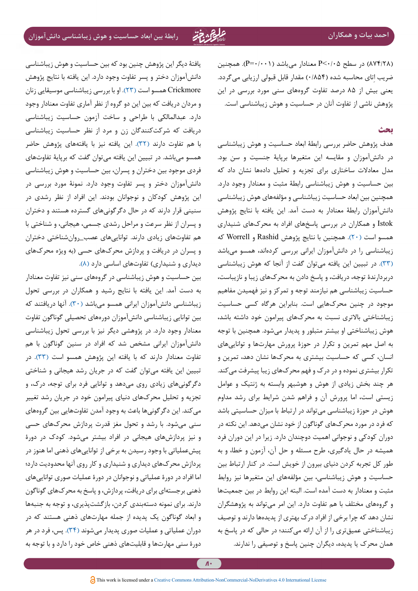)874/28( در سطح 0/05<P معنادار میباشد )0/001=P). همچنین ضریب اتای محاسبه شده (۰/۸۵۴) مقدار قابل قبولی ارزیابی میگردد. یعنی بیش از 85 درصد تفاوت گروههای سنی مورد بررسی در این پژوهش ناشی از تفاوت آنان در حساسیت و هوش زیباشناسی است.

### **بحث**

هدف پژوهش حاضر بررسی رابطۀ ابعاد حساسیت و هوش زیباشناسی در دانشآموزان و مقایسه این متغیرها برپایۀ جنسیت و سن بود. مدل معادالت ساختاری برای تجزیه و تحلیل دادهها نشان داد که بین حساسیت و هوش زیباشناسی رابطۀ مثبت و معنادار وجود دارد. همچنین بین ابعاد حساسیت زیباشناسی و مؤلفههای هوش زیباشناسی دانشآموزان رابطۀ معنادار به دست آمد. این یافته با نتایج پژوهش Istok و همکاران در بررسی پاسخهای افراد به محرکهای شنیداری همسو است )[20\(](#page-12-14). همچنین با نتایج پژوهش Rashid و Worrell که زیباشناسی را در دانشآموزان ایرانی بررسی کردهاند، همسو میباشد )[33\(](#page-13-4). در تبیین این یافته میتوان گفت از آنجا که هوش زیباشناسی دربردارندۀ توجه، دریافت، و پاسخ دادن به محرکهای زیبا و نازیباست، حساسیت زیباشناسی هم نیازمند توجه و تمرکز و نیز فهمیدن مفاهیم موجود در چنین محرکهایی است. بنابراین هرگاه کسی حساسیت زیباشناختی باالتری نسبت به محرکهای پیرامون خود داشته باشد، هوش زیباشناختی او بیشتر متبلور و پدیدار میشود. همچنین با توجه به اصل مهم تمرین و تکرار در حوزۀ پرورش مهارتها و تواناییهای انسان، کسی که حساسیت بیشتری به محرکها نشان دهد، تمرین و تکرار بیشتری نموده و در درک و فهم محرکهای زیبا پیشرفت میکند. هر چند بخش زیادی از هوش و هوشبهر وابسته به ژنتیک و عوامل زیستی است، اما پرورش آن و فراهم شدن شرایط برای رشد مداوم هوش در حوزۀ زیباشناسی میتواند در ارتباط با میزان حساسیتی باشد که فرد در مورد محرکهای گوناگون از خود نشان میدهد. این نکته در دوران کودکی و نوجوانی اهمیت دوچندان دارد. زیرا در این دوران فرد همیشه در حال یادگیری، طرح مسئله و حل آن، آزمون و خطا، و به طور کل تجربه کردن دنیای بیرون از خویش است. در کنار ارتباط بین حساسیت و هوش زیباشناسی، بین مؤلفههای این متغیرها نیز روابط مثبت و معنادار به دست آمده است. البته این روابط در بین جمعیتها و گروههای مختلف با هم تفاوت دارد. این امر میتواند به پژوهشگران نشان دهد که چرا برخی از افراد درک بهتری از پدیدهها دارند و توصیف زیباشناختی عمیقتری را از آن ارائه میکنند؛ در حالی که در پاسخ به همان محرک یا پدیده، دیگران چنین پاسخ و توصیفی را ندارند.

یافتۀ دیگر این پژوهش چنین بود که بین حساسیت و هوش زیباشناسی دانشآموزان دختر و پسر تفاوت وجود دارد. این یافته با نتایج پژوهش Crickmore همسو است )[23\(](#page-12-16). او با بررسی زیباشناسی موسیقایی زنان و مردان دریافت که بین این دو گروه از نظر آماری تفاوت معنادار وجود دارد. عبدالمالکی با طراحی و ساخت آزمون حساسیت زیباشناسی دریافت که شرکتکنندگان زن و مرد از نظر حساسیت زیباشناسی با هم تفاوت دارند )[32](#page-13-3)(. این یافته نیز با یافتههای پژوهش حاضر همسو میباشد. در تبیین این یافته میتوان گفت که برپایۀ تفاوتهای فردی موجود بین دختران و پسران، بین حساسیت و هوش زیباشناسی دانشآموزان دختر و پسر تفاوت وجود دارد. نمونۀ مورد بررسی در این پژوهش کودکان و نوجوانان بودند. این افراد از نظر رشدی در سنینی قرار دارند که در حال دگرگونیهای گسترده هستند و دختران و پسران از نظر سرعت و مراحل رشدی جسمی، هیجانی، و شناختی با هم تفاوتهای زیادی دارند. تواناییهای عصب\_روانشناختی دختران و پسران در دریافت و پردازش محرکهای حسی )به ویژه محرکهای دیداری و شنیداری) تفاوتهای اساسی دارد (۸).

بین حساسیت و هوش زیباشناسی در گروههای سنی نیز تفاوت معنادار به دست آمد. این یافته با نتایج رشید و همکاران در بررسی تحول زیباشناسی دانشآموزان ایرانی همسو میباشد )[30\(](#page-13-1). آنها دریافتند که بین توانایی زیباشناسی دانشآموزان دورههای تحصیلی گوناگون تفاوت معنادار وجود دارد. در پژوهشی دیگر نیز با بررسی تحول زیباشناسی دانشآموزان ایرانی مشخص شد که افراد در سنین گوناگون با هم تفاوت معنادار دارند که با یافته این پژوهش همسو است )[33\(](#page-13-4). در تبیین این یافته میتوان گفت که در جریان رشد هیجانی و شناختی دگرگونیهای زیادی روی میدهد و توانایی فرد برای توجه، درک، و تجزیه و تحلیل محرکهای دنیای پیرامون خود در جریان رشد تغییر میکند. این دگرگونیها باعث به وجود آمدن تفاوتهایی بین گروههای سنی میشود. با رشد و تحول مغز قدرت پردازش محرکهای حسی و نیز پردازشهای هیجانی در افراد بیشتر میشود. کودک در دورۀ پیشعملیاتی با وجود رسیدن به برخی از تواناییهای ذهنی اما هنوز در پردازش محرکهای دیداری و شنیداری و کار روی آنها محدودیت دارد؛ اما افراد در دورۀ عملیاتی و نوجوانان در دورۀ عملیات صوری تواناییهای ذهنی برجستهای برای دریافت، پردازش، و پاسخ به محرکهای گوناگون دارند. برای نمونه دستهبندی کردن، بازگشتپذیری، و توجه به جنبهها و ابعاد گوناگون یک پدیده از جمله مهارتهای ذهنی هستند که در دوران عملیاتی و عملیات صوری پدیدار میشوند )[34\(](#page-13-5). پس، فرد در هر دورۀ سنی مهارتها و قابلیتهای ذهنی خاص خود را دارد و با توجه به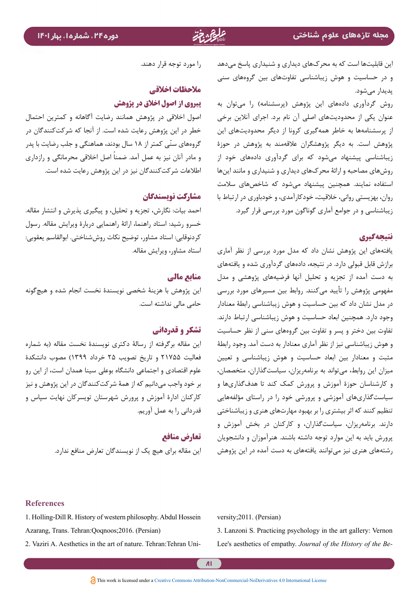این قابلیتها است که به محرکهای دیداری و شنیداری پاسخ میدهد و در حساسیت و هوش زیباشناسی تفاوتهای بین گروههای سنی پدیدار میشود.

روش گردآوری دادههای این پژوهش (پرسشنامه) را میتوان به عنوان یکی از محدودیتهای اصلی آن نام برد. اجرای آنالین برخی از پرسشنامهها به خاطر همهگیری کرونا از دیگر محدودیتهای این پژوهش است. به دیگر پژوهشگران عالقهمند به پژوهش در حوزۀ زیباشناسی پیشنهاد میشود که برای گردآوری دادههای خود از روشهای مصاحبه و ارائۀ محرکهای دیداری و شنیداری و مانند اینها استفاده نمایند. همچنین پیشنهاد میشود که شاخصهای سالمت روان، بهزیستی روانی، خالقیت، خودکارآمدی، و خودباوری در ارتباط با زیباشناسی و در جوامع آماری گوناگون مورد بررسی قرار گیرد.

# **نتیجهگیری**

یافتههای این پژوهش نشان داد که مدل مورد بررسی از نظر آماری برازش قابل قبولی دارد. در نتیجه، دادههای گردآوری شده و یافتههای به دست آمده از تجزیه و تحلیل آنها فرضیههای پژوهشی و مدل مفهومی پژوهش را تأیید میکنند. روابط بین مسیرهای مورد بررسی در مدل نشان داد که بین حساسیت و هوش زیباشناسی رابطۀ معنادار وجود دارد. همچنین ابعاد حساسیت و هوش زیباشناسی ارتباط دارند. تفاوت بین دختر و پسر و تفاوت بین گروههای سنی از نظر حساسیت و هوش زیباشناسی نیز از نظر آماری معنادار به دست آمد. وجود رابطۀ مثبت و معنادار بین ابعاد حساسیت و هوش زیباشناسی و تعیین میزان این روابط، میتواند به برنامهریزان، سیاستگذاران، متخصصان، و کارشناسان حوزۀ آموزش و پرورش کمک کند تا هدفگذاریها و سیاستگذاریهای آموزشی و پرورشی خود را در راستای مؤلفههایی تنظیم کنند که اثر بیشتری را بر بهبود مهارتهای هنری و زیباشناختی دارند. برنامهریزان، سیاستگذاران، و کارکنان در بخش آموزش و پرورش باید به این موارد توجه داشته باشند. هنرآموزان و دانشجویان رشتههای هنری نیز میتوانند یافتههای به دست آمده در این پژوهش

### را مورد توجه قرار دهند.

# **مالحظات اخالقی پیروی از اصول اخالق در پژوهش**

اصول اخالقی در پژوهش همانند رضایت آگاهانه و کمترین احتمال خطر در این پژوهش رعایت شده است. از آنجا که شرکتکنندگان در گروههای سنّی کمتر از ۱۸ سال بودند، هماهنگی و جلب رضایت با پدر و مادر آنان نیز به عمل آمد. ضمناً اصل اخلاقی محرمانگی و رازداری اطالعات شرکتکنندگان نیز در این پژوهش رعایت شده است.

## **مشارکت نویسندگان**

احمد بیات: نگارش، تجزیه و تحلیل، و پیگیری پذیرش و انتشار مقاله. خسرو رشید: استاد راهنما، ارائۀ راهنمایی دربارۀ ویرایش مقاله. رسول کردنوقابی: استاد مشاور، توضیح نکات روششناختی. ابوالقاسم یعقوبی: استاد مشاور، ویرایش مقاله.

### **منابع مالی**

این پژوهش با هزینۀ شخصی نویسندۀ نخست انجام شده و هیچگونه حامی مالی نداشته است.

## **تشکر و قدردانی**

این مقاله برگرفته از رسالۀ دکتری نویسندۀ نخست مقاله )به شماره فعالیت 21755 و تاریخ تصویب 25 خرداد 1399( مصوب دانشکدۀ علوم اقتصادی و اجتماعی دانشگاه بوعلی سینا همدان است، از این رو بر خود واجب میدانیم که از همۀ شرکتکنندگان در این پژوهش و نیز کارکنان ادارۀ آموزش و پرورش شهرستان تویسرکان نهایت سپاس و قدردانی را به عمل آوریم.

## **تعارض منافع**

این مقاله برای هیچ یک از نویسندگان تعارض منافع ندارد.

#### **References**

<span id="page-11-1"></span><span id="page-11-0"></span>1. Holling-Dill R. History of western philosophy. Abdul Hossein Azarang, Trans. Tehran: Qoqnoos; 2016. (Persian) 2. Vaziri A. Aesthetics in the art of nature. Tehran: Tehran University; 2011. (Persian)

<span id="page-11-2"></span>3. Lanzoni S. Practicing psychology in the art gallery: Vernon Lee's aesthetics of empathy. Journal of the History of the Be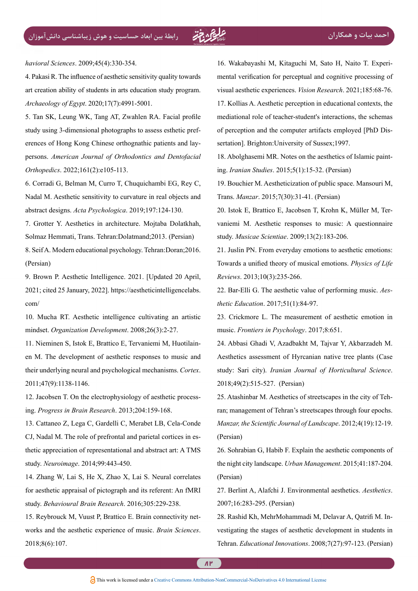havioral Sciences. 2009;45(4):330-354.

<span id="page-12-0"></span>4. Pakasi R. The influence of aesthetic sensitivity quality towards art creation ability of students in arts education study program. Archaeology of Egypt. 2020;17(7):4991-5001.

<span id="page-12-1"></span>5. Tan SK, Leung WK, Tang AT, Zwahlen RA. Facial profile persons. American Journal of Orthodontics and Dentofacial erences of Hong Kong Chinese orthognathic patients and laystudy using 3-dimensional photographs to assess esthetic pref-Orthopedics. 2022;161(2):e105-113.

<span id="page-12-2"></span>6. Corradi G, Belman M, Curro T, Chuquichambi EG, Rey C, Nadal M. Aesthetic sensitivity to curvature in real objects and abstract designs. Acta Psychologica. 2019;197:124-130.

<span id="page-12-3"></span>7. Grotter Y. Aesthetics in architecture. Mojtaba Dolatkhah, Solmaz Hemmati, Trans. Tehran:Dolatmand:2013. (Persian)

<span id="page-12-4"></span>8. Seif A. Modern educational psychology. Tehran: Doran: 2016. (Persian)

<span id="page-12-5"></span>9. Brown P. Aesthetic Intelligence. 2021. [Updated 20 April, 2021; cited 25 January, 2022]. https://aestheticintelligencelabs. /com

<span id="page-12-6"></span>10. Mucha RT. Aesthetic intelligence cultivating an artistic mindset. Organization Development. 2008;26(3):2-27.

<span id="page-12-7"></span>en M. The development of aesthetic responses to music and 11. Nieminen S, Istok E, Brattico E, Tervaniemi M, Huotilaintheir underlying neural and psychological mechanisms. Cortex. 2011;47(9):1138-1146.

<span id="page-12-8"></span>ing. Progress in Brain Research. 2013;204:159-168. 12. Jacobsen T. On the electrophysiology of aesthetic process-

<span id="page-12-9"></span>13. Cattaneo Z, Lega C, Gardelli C, Merabet LB, Cela-Conde thetic appreciation of representational and abstract art: A TMS CJ, Nadal M. The role of prefrontal and parietal cortices in esstudy. Neuroimage. 2014;99:443-450.

<span id="page-12-10"></span>14. Zhang W, Lai S, He X, Zhao X, Lai S. Neural correlates for aesthetic appraisal of pictograph and its referent: An fMRI study. Behavioural Brain Research. 2016;305:229-238.

<span id="page-12-11"></span>15. Reybrouck M, Vuust P, Brattico E. Brain connectivity networks and the aesthetic experience of music. *Brain Sciences*. 2018:8(6):107.

<span id="page-12-13"></span><span id="page-12-12"></span>16. Wakabayashi M, Kitaguchi M, Sato H, Naito T. Experi-<br>mental-verification for perceptual and cognitive processing of visual aesthetic experiences. *Vision Research*. 2021;185:68-76. 17. Kollias A. Aesthetic perception in educational contexts, the mediational role of teacher-student's interactions, the schemas of perception and the computer artifacts employed [PhD Dissertation]. Brighton:University of Sussex;1997.

<span id="page-12-18"></span>18. Abolghasemi MR. Notes on the aesthetics of Islamic painting. *Iranian Studies*. 2015;5(1):15-32. (Persian)

<span id="page-12-17"></span>19. Bouchier M. Aestheticization of public space. Mansouri M. Trans. *Manzar*. 2015:7(30):31-41. (Persian)

<span id="page-12-14"></span>vaniemi M. Aesthetic responses to music: A questionnaire 20. Istok E, Brattico E, Jacobsen T, Krohn K, Müller M, Terstudy. *Musicae Scientiae*. 2009;13(2):183-206.

21. Juslin PN. From everyday emotions to aesthetic emotions: Towards a unified theory of musical emotions. Physics of Life Reviews. 2013;10(3):235-266.

<span id="page-12-15"></span>22. Bar-Elli G. The aesthetic value of performing music. Aes-<br>*thetic Education*. 2017;51(1):84-97.

<span id="page-12-16"></span>23. Crickmore L. The measurement of aesthetic emotion in music. Frontiers in Psychology. 2017;8:651.

<span id="page-12-20"></span>24. Abbasi Ghadi V, Azadbakht M, Tajvar Y, Akbarzadeh M. Aesthetics assessment of Hyrcanian native tree plants (Case study: Sari city). *Iranian Journal of Horticultural Science*. 2018;49(2):515-527. (Persian)

<span id="page-12-19"></span>ran; management of Tehran's streetscapes through four epochs. 25. Atashinbar M. Aesthetics of streetscapes in the city of Teh-Manzar, the Scientific Journal of Landscape. 2012;4(19):12-19. (Persian)

<span id="page-12-22"></span>26. Sohrabian G, Habib F. Explain the aesthetic components of the night city landscape. *Urban Management*. 2015;41:187-204. (Persian)

<span id="page-12-21"></span>27. Berlint A, Alafchi J. Environmental aesthetics. Aesthetics. 2007;16:283-295. (Persian)

<span id="page-12-23"></span>28. Rashid Kh, MehrMohammadi M, Delavar A, Qatrifi M. Investigating the stages of aesthetic development in students in (Persian Tehran. *Educational Innovations*, 2008:7(27):97-123. (Persian)